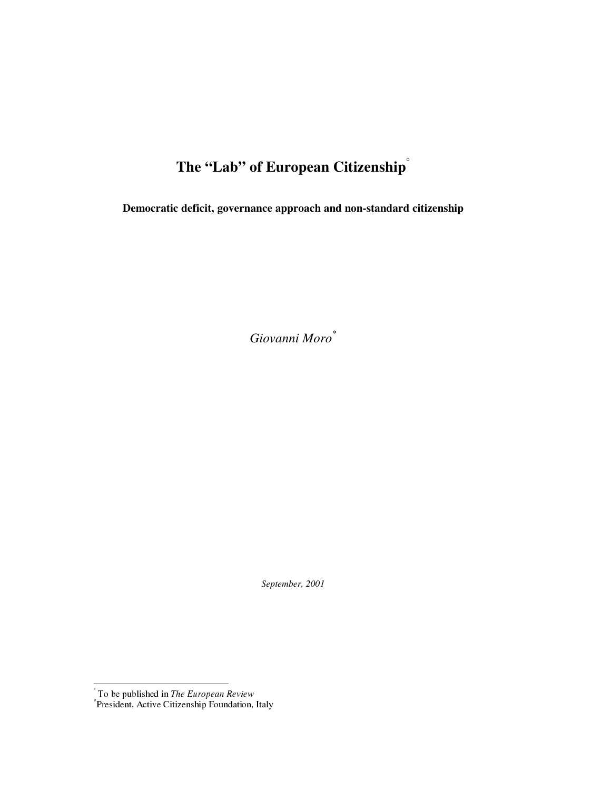# The "Lab" of European Citizenship<sup>"</sup>

Democratic deficit, governance approach and non-standard citizenship

Giovanni Moro\*

September, 2001

To be published in *The European Review*<br>\*President, Active Citizenship Foundation, Italy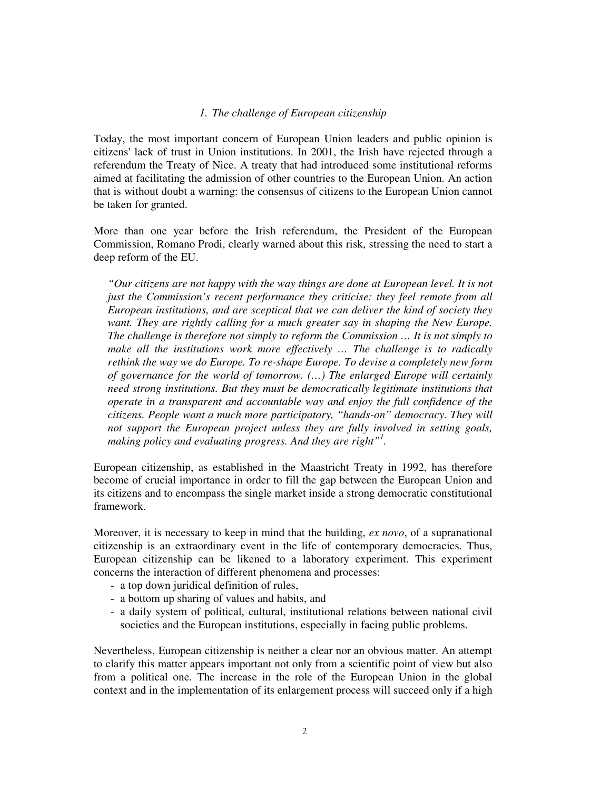#### *1. The challenge of European citizenship*

Today, the most important concern of European Union leaders and public opinion is citizens' lack of trust in Union institutions. In 2001, the Irish have rejected through a referendum the Treaty of Nice. A treaty that had introduced some institutional reforms aimed at facilitating the admission of other countries to the European Union. An action that is without doubt a warning: the consensus of citizens to the European Union cannot be taken for granted.

More than one year before the Irish referendum, the President of the European Commission, Romano Prodi, clearly warned about this risk, stressing the need to start a deep reform of the EU.

*"Our citizens are not happy with the way things are done at European level. It is not just the Commission's recent performance they criticise: they feel remote from all European institutions, and are sceptical that we can deliver the kind of society they*  want. They are rightly calling for a much greater say in shaping the New Europe. *The challenge is therefore not simply to reform the Commission … It is not simply to*  make all the institutions work more effectively ... The challenge is to radically *rethink the way we do Europe. To re-shape Europe. To devise a completely new form of governance for the world of tomorrow. (…) The enlarged Europe will certainly need strong institutions. But they must be democratically legitimate institutions that operate in a transparent and accountable way and enjoy the full confidence of the citizens. People want a much more participatory, "hands-on" democracy. They will not support the European project unless they are fully involved in setting goals,*  making policy and evaluating progress. And they are right"<sup>1</sup>.

European citizenship, as established in the Maastricht Treaty in 1992, has therefore become of crucial importance in order to fill the gap between the European Union and its citizens and to encompass the single market inside a strong democratic constitutional framework.

Moreover, it is necessary to keep in mind that the building, *ex novo*, of a supranational citizenship is an extraordinary event in the life of contemporary democracies. Thus, European citizenship can be likened to a laboratory experiment. This experiment concerns the interaction of different phenomena and processes:

- a top down juridical definition of rules,
- a bottom up sharing of values and habits, and
- a daily system of political, cultural, institutional relations between national civil societies and the European institutions, especially in facing public problems.

Nevertheless, European citizenship is neither a clear nor an obvious matter. An attempt to clarify this matter appears important not only from a scientific point of view but also from a political one. The increase in the role of the European Union in the global context and in the implementation of its enlargement process will succeed only if a high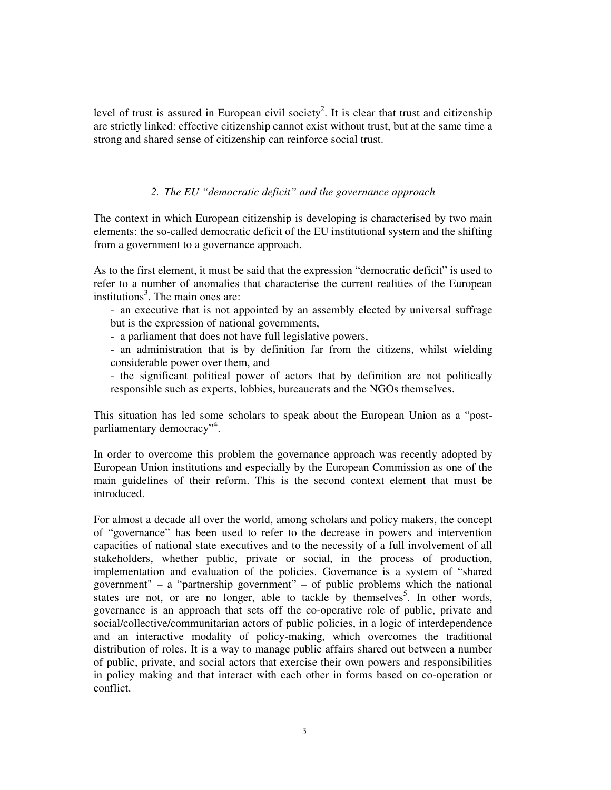level of trust is assured in European civil society<sup>2</sup>. It is clear that trust and citizenship are strictly linked: effective citizenship cannot exist without trust, but at the same time a strong and shared sense of citizenship can reinforce social trust.

## *2. The EU "democratic deficit" and the governance approach*

The context in which European citizenship is developing is characterised by two main elements: the so-called democratic deficit of the EU institutional system and the shifting from a government to a governance approach.

As to the first element, it must be said that the expression "democratic deficit" is used to refer to a number of anomalies that characterise the current realities of the European institutions 3 . The main ones are:

- an executive that is not appointed by an assembly elected by universal suffrage but is the expression of national governments,

- a parliament that does not have full legislative powers,

- an administration that is by definition far from the citizens, whilst wielding considerable power over them, and

- the significant political power of actors that by definition are not politically responsible such as experts, lobbies, bureaucrats and the NGOs themselves.

This situation has led some scholars to speak about the European Union as a "postparliamentary democracy"<sup>4</sup>.

In order to overcome this problem the governance approach was recently adopted by European Union institutions and especially by the European Commission as one of the main guidelines of their reform. This is the second context element that must be introduced.

For almost a decade all over the world, among scholars and policy makers, the concept of "governance" has been used to refer to the decrease in powers and intervention capacities of national state executives and to the necessity of a full involvement of all stakeholders, whether public, private or social, in the process of production, implementation and evaluation of the policies. Governance is a system of "shared government" – a "partnership government" – of public problems which the national states are not, or are no longer, able to tackle by themselves<sup>5</sup>. In other words, governance is an approach that sets off the co-operative role of public, private and social/collective/communitarian actors of public policies, in a logic of interdependence and an interactive modality of policy-making, which overcomes the traditional distribution of roles. It is a way to manage public affairs shared out between a number of public, private, and social actors that exercise their own powers and responsibilities in policy making and that interact with each other in forms based on co-operation or conflict.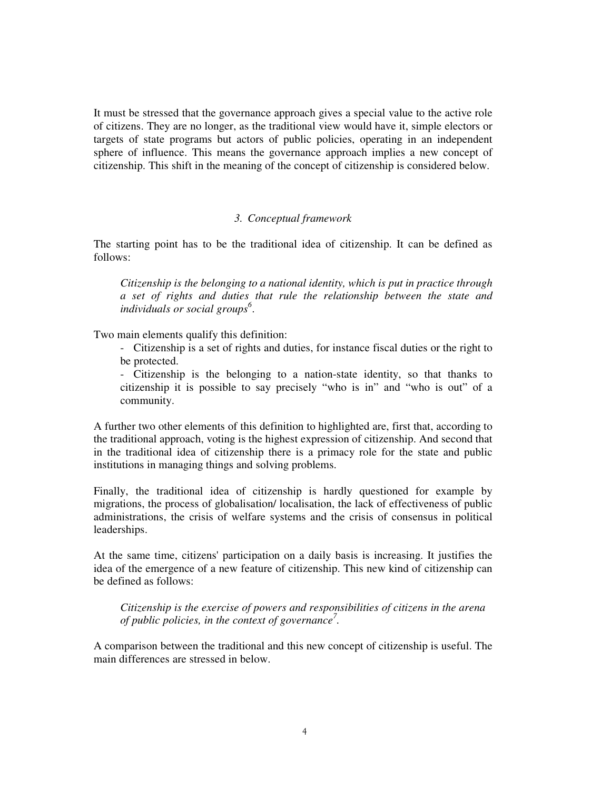It must be stressed that the governance approach gives a special value to the active role of citizens. They are no longer, as the traditional view would have it, simple electors or targets of state programs but actors of public policies, operating in an independent sphere of influence. This means the governance approach implies a new concept of citizenship. This shift in the meaning of the concept of citizenship is considered below.

#### *3. Conceptual framework*

The starting point has to be the traditional idea of citizenship. It can be defined as follows:

*Citizenship is the belonging to a national identity, which is put in practice through a set of rights and duties that rule the relationship between the state and individuals or social groups 6* .

Two main elements qualify this definition:

- Citizenship is a set of rights and duties, for instance fiscal duties or the right to be protected.

- Citizenship is the belonging to a nation-state identity, so that thanks to citizenship it is possible to say precisely "who is in" and "who is out" of a community.

A further two other elements of this definition to highlighted are, first that, according to the traditional approach, voting is the highest expression of citizenship. And second that in the traditional idea of citizenship there is a primacy role for the state and public institutions in managing things and solving problems.

Finally, the traditional idea of citizenship is hardly questioned for example by migrations, the process of globalisation/ localisation, the lack of effectiveness of public administrations, the crisis of welfare systems and the crisis of consensus in political leaderships.

At the same time, citizens' participation on a daily basis is increasing. It justifies the idea of the emergence of a new feature of citizenship. This new kind of citizenship can be defined as follows:

*Citizenship is the exercise of powers and responsibilities of citizens in the arena of public policies, in the context of governance 7 .*

A comparison between the traditional and this new concept of citizenship is useful. The main differences are stressed in below.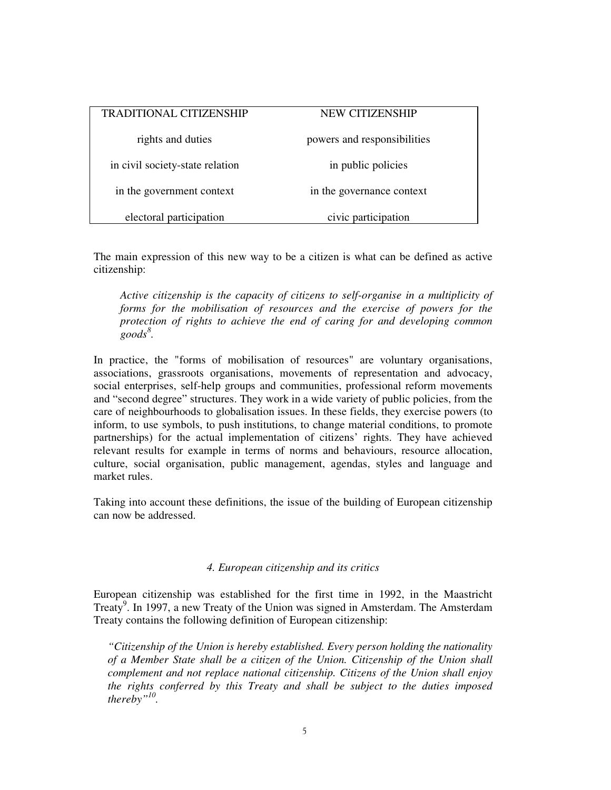| TRADITIONAL CITIZENSHIP         | NEW CITIZENSHIP             |
|---------------------------------|-----------------------------|
| rights and duties               | powers and responsibilities |
| in civil society-state relation | in public policies          |
| in the government context       | in the governance context   |
| electoral participation         | civic participation         |

The main expression of this new way to be a citizen is what can be defined as active citizenship:

*Active citizenship is the capacity of citizens to self-organise in a multiplicity of forms for the mobilisation of resources and the exercise of powers for the protection of rights to achieve the end of caring for and developing common goods 8 .*

In practice, the "forms of mobilisation of resources" are voluntary organisations, associations, grassroots organisations, movements of representation and advocacy, social enterprises, self-help groups and communities, professional reform movements and "second degree" structures. They work in a wide variety of public policies, from the care of neighbourhoods to globalisation issues. In these fields, they exercise powers (to inform, to use symbols, to push institutions, to change material conditions, to promote partnerships) for the actual implementation of citizens' rights. They have achieved relevant results for example in terms of norms and behaviours, resource allocation, culture, social organisation, public management, agendas, styles and language and market rules.

Taking into account these definitions, the issue of the building of European citizenship can now be addressed.

### *4. European citizenship and its critics*

European citizenship was established for the first time in 1992, in the Maastricht Treaty 9 . In 1997, a new Treaty of the Union was signed in Amsterdam. The Amsterdam Treaty contains the following definition of European citizenship:

*"Citizenship of the Union is hereby established. Every person holding the nationality of a Member State shall be a citizen of the Union. Citizenship of the Union shall complement and not replace national citizenship. Citizens of the Union shall enjoy the rights conferred by this Treaty and shall be subject to the duties imposed thereby" 10 .*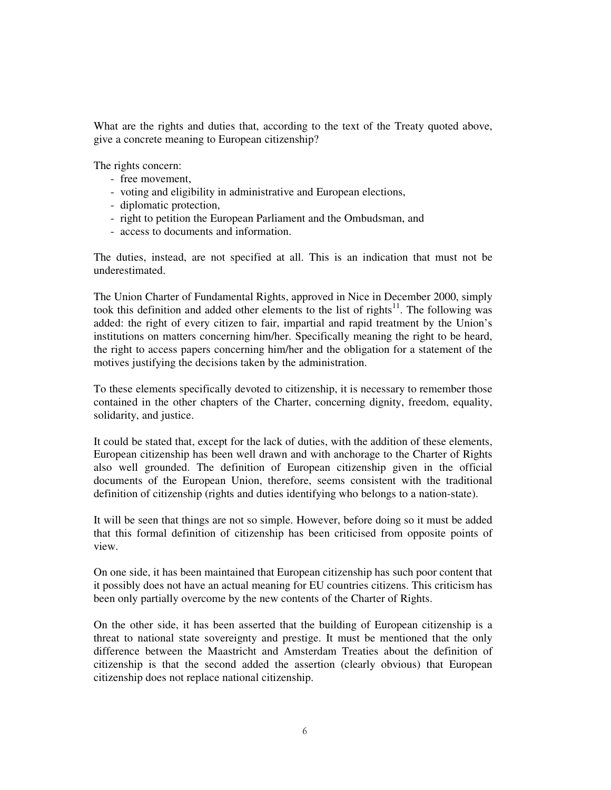What are the rights and duties that, according to the text of the Treaty quoted above, give a concrete meaning to European citizenship?

The rights concern:

- free movement,
- voting and eligibility in administrative and European elections,
- diplomatic protection,
- right to petition the European Parliament and the Ombudsman, and
- access to documents and information.

The duties, instead, are not specified at all. This is an indication that must not be underestimated.

The Union Charter of Fundamental Rights, approved in Nice in December 2000, simply took this definition and added other elements to the list of rights $11$ . The following was added: the right of every citizen to fair, impartial and rapid treatment by the Union's institutions on matters concerning him/her. Specifically meaning the right to be heard, the right to access papers concerning him/her and the obligation for a statement of the motives justifying the decisions taken by the administration.

To these elements specifically devoted to citizenship, it is necessary to remember those contained in the other chapters of the Charter, concerning dignity, freedom, equality, solidarity, and justice.

It could be stated that, except for the lack of duties, with the addition of these elements, European citizenship has been well drawn and with anchorage to the Charter of Rights also well grounded. The definition of European citizenship given in the official documents of the European Union, therefore, seems consistent with the traditional definition of citizenship (rights and duties identifying who belongs to a nation-state).

It will be seen that things are not so simple. However, before doing so it must be added that this formal definition of citizenship has been criticised from opposite points of view.

On one side, it has been maintained that European citizenship has such poor content that it possibly does not have an actual meaning for EU countries citizens. This criticism has been only partially overcome by the new contents of the Charter of Rights.

On the other side, it has been asserted that the building of European citizenship is a threat to national state sovereignty and prestige. It must be mentioned that the only difference between the Maastricht and Amsterdam Treaties about the definition of citizenship is that the second added the assertion (clearly obvious) that European citizenship does not replace national citizenship.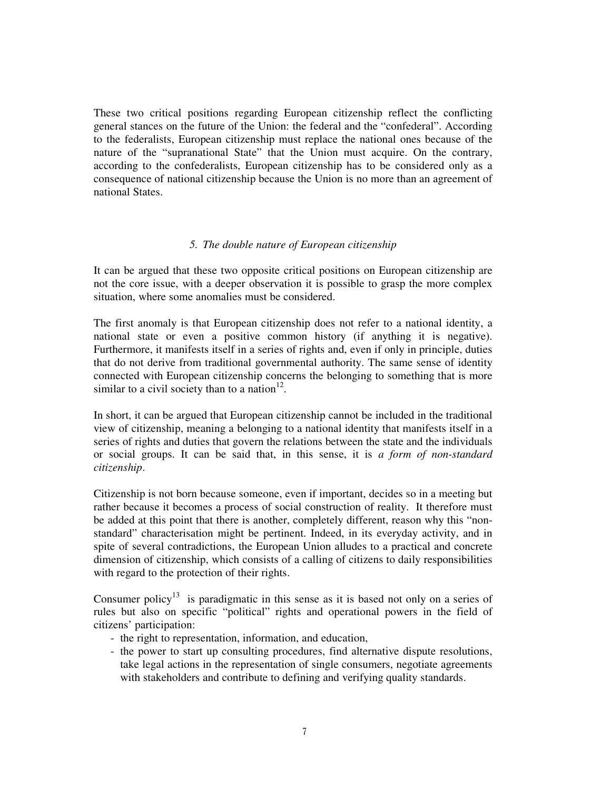These two critical positions regarding European citizenship reflect the conflicting general stances on the future of the Union: the federal and the "confederal". According to the federalists, European citizenship must replace the national ones because of the nature of the "supranational State" that the Union must acquire. On the contrary, according to the confederalists, European citizenship has to be considered only as a consequence of national citizenship because the Union is no more than an agreement of national States.

### *5. The double nature of European citizenship*

It can be argued that these two opposite critical positions on European citizenship are not the core issue, with a deeper observation it is possible to grasp the more complex situation, where some anomalies must be considered.

The first anomaly is that European citizenship does not refer to a national identity, a national state or even a positive common history (if anything it is negative). Furthermore, it manifests itself in a series of rights and, even if only in principle, duties that do not derive from traditional governmental authority. The same sense of identity connected with European citizenship concerns the belonging to something that is more similar to a civil society than to a nation $12$ .

In short, it can be argued that European citizenship cannot be included in the traditional view of citizenship, meaning a belonging to a national identity that manifests itself in a series of rights and duties that govern the relations between the state and the individuals or social groups. It can be said that, in this sense, it is *a form of non-standard citizenship*.

Citizenship is not born because someone, even if important, decides so in a meeting but rather because it becomes a process of social construction of reality. It therefore must be added at this point that there is another, completely different, reason why this "nonstandard" characterisation might be pertinent. Indeed, in its everyday activity, and in spite of several contradictions, the European Union alludes to a practical and concrete dimension of citizenship, which consists of a calling of citizens to daily responsibilities with regard to the protection of their rights.

Consumer policy<sup>13</sup> is paradigmatic in this sense as it is based not only on a series of rules but also on specific "political" rights and operational powers in the field of citizens' participation:

- the right to representation, information, and education,
- the power to start up consulting procedures, find alternative dispute resolutions, take legal actions in the representation of single consumers, negotiate agreements with stakeholders and contribute to defining and verifying quality standards.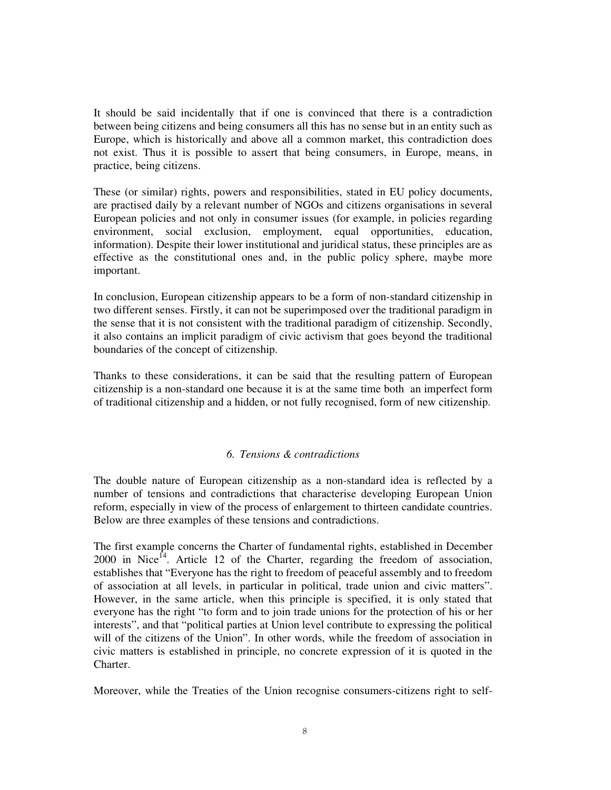It should be said incidentally that if one is convinced that there is a contradiction between being citizens and being consumers all this has no sense but in an entity such as Europe, which is historically and above all a common market, this contradiction does not exist. Thus it is possible to assert that being consumers, in Europe, means, in practice, being citizens.

These (or similar) rights, powers and responsibilities, stated in EU policy documents, are practised daily by a relevant number of NGOs and citizens organisations in several European policies and not only in consumer issues (for example, in policies regarding environment, social exclusion, employment, equal opportunities, education, information). Despite their lower institutional and juridical status, these principles are as effective as the constitutional ones and, in the public policy sphere, maybe more important.

In conclusion, European citizenship appears to be a form of non-standard citizenship in two different senses. Firstly, it can not be superimposed over the traditional paradigm in the sense that it is not consistent with the traditional paradigm of citizenship. Secondly, it also contains an implicit paradigm of civic activism that goes beyond the traditional boundaries of the concept of citizenship.

Thanks to these considerations, it can be said that the resulting pattern of European citizenship is a non-standard one because it is at the same time both an imperfect form of traditional citizenship and a hidden, or not fully recognised, form of new citizenship.

## *6. Tensions & contradictions*

The double nature of European citizenship as a non-standard idea is reflected by a number of tensions and contradictions that characterise developing European Union reform, especially in view of the process of enlargement to thirteen candidate countries. Below are three examples of these tensions and contradictions.

The first example concerns the Charter of fundamental rights, established in December 2000 in Nice<sup>14</sup>. Article 12 of the Charter, regarding the freedom of association, establishes that "Everyone has the right to freedom of peaceful assembly and to freedom of association at all levels, in particular in political, trade union and civic matters". However, in the same article, when this principle is specified, it is only stated that everyone has the right "to form and to join trade unions for the protection of his or her interests", and that "political parties at Union level contribute to expressing the political will of the citizens of the Union". In other words, while the freedom of association in civic matters is established in principle, no concrete expression of it is quoted in the Charter.

Moreover, while the Treaties of the Union recognise consumers-citizens right to self-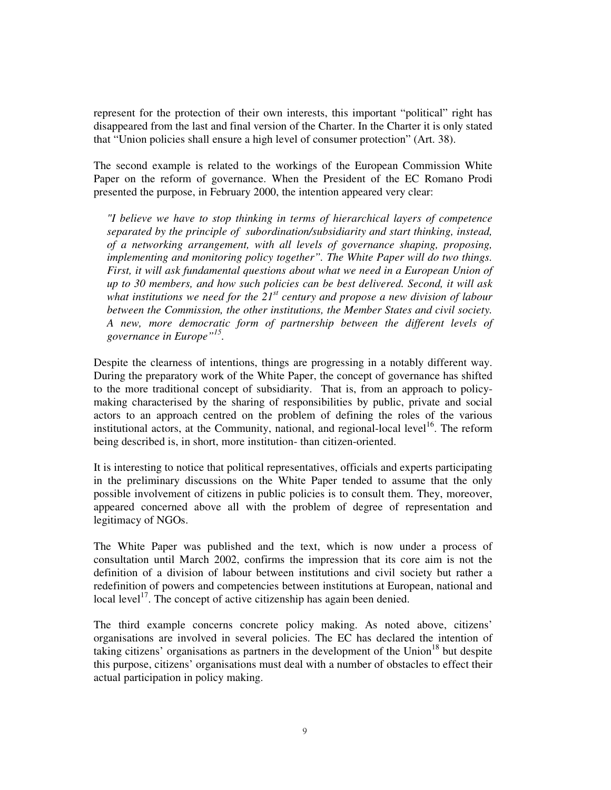represent for the protection of their own interests, this important "political" right has disappeared from the last and final version of the Charter. In the Charter it is only stated that "Union policies shall ensure a high level of consumer protection" (Art. 38).

The second example is related to the workings of the European Commission White Paper on the reform of governance. When the President of the EC Romano Prodi presented the purpose, in February 2000, the intention appeared very clear:

*"I believe we have to stop thinking in terms of hierarchical layers of competence separated by the principle of subordination/subsidiarity and start thinking, instead, of a networking arrangement, with all levels of governance shaping, proposing, implementing and monitoring policy together". The White Paper will do two things. First, it will ask fundamental questions about what we need in a European Union of up to 30 members, and how such policies can be best delivered. Second, it will ask what institutions we need for the 21st century and propose a new division of labour between the Commission, the other institutions, the Member States and civil society. A new, more democratic form of partnership between the different levels of governance in Europe" 15 .*

Despite the clearness of intentions, things are progressing in a notably different way. During the preparatory work of the White Paper, the concept of governance has shifted to the more traditional concept of subsidiarity. That is, from an approach to policymaking characterised by the sharing of responsibilities by public, private and social actors to an approach centred on the problem of defining the roles of the various institutional actors, at the Community, national, and regional-local level<sup>16</sup>. The reform being described is, in short, more institution- than citizen-oriented.

It is interesting to notice that political representatives, officials and experts participating in the preliminary discussions on the White Paper tended to assume that the only possible involvement of citizens in public policies is to consult them. They, moreover, appeared concerned above all with the problem of degree of representation and legitimacy of NGOs.

The White Paper was published and the text, which is now under a process of consultation until March 2002, confirms the impression that its core aim is not the definition of a division of labour between institutions and civil society but rather a redefinition of powers and competencies between institutions at European, national and local level<sup>17</sup>. The concept of active citizenship has again been denied.

The third example concerns concrete policy making. As noted above, citizens' organisations are involved in several policies. The EC has declared the intention of taking citizens' organisations as partners in the development of the Union<sup>18</sup> but despite this purpose, citizens' organisations must deal with a number of obstacles to effect their actual participation in policy making.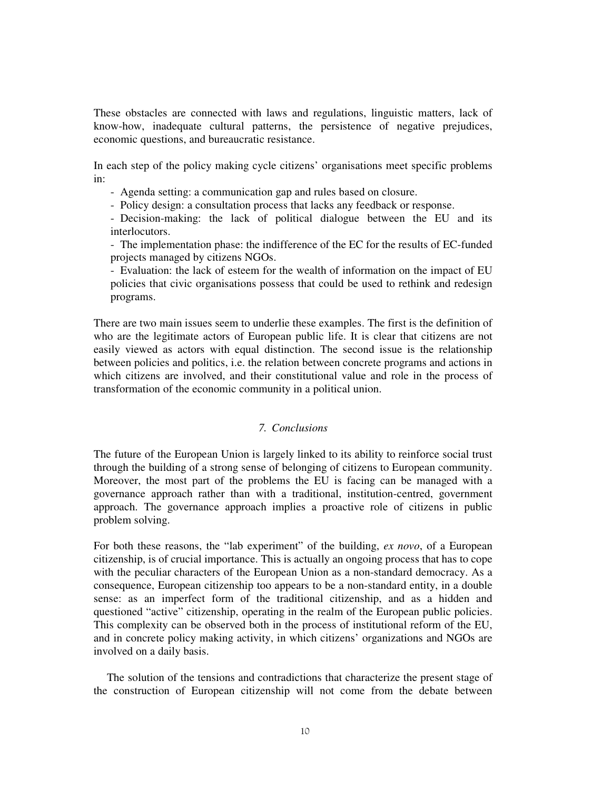These obstacles are connected with laws and regulations, linguistic matters, lack of know-how, inadequate cultural patterns, the persistence of negative prejudices, economic questions, and bureaucratic resistance.

In each step of the policy making cycle citizens' organisations meet specific problems in:

- Agenda setting: a communication gap and rules based on closure.

- Policy design: a consultation process that lacks any feedback or response.

- Decision-making: the lack of political dialogue between the EU and its interlocutors.

- The implementation phase: the indifference of the EC for the results of EC-funded projects managed by citizens NGOs.

- Evaluation: the lack of esteem for the wealth of information on the impact of EU policies that civic organisations possess that could be used to rethink and redesign programs.

There are two main issues seem to underlie these examples. The first is the definition of who are the legitimate actors of European public life. It is clear that citizens are not easily viewed as actors with equal distinction. The second issue is the relationship between policies and politics, i.e. the relation between concrete programs and actions in which citizens are involved, and their constitutional value and role in the process of transformation of the economic community in a political union.

## *7. Conclusions*

The future of the European Union is largely linked to its ability to reinforce social trust through the building of a strong sense of belonging of citizens to European community. Moreover, the most part of the problems the EU is facing can be managed with a governance approach rather than with a traditional, institution-centred, government approach. The governance approach implies a proactive role of citizens in public problem solving.

For both these reasons, the "lab experiment" of the building, *ex novo*, of a European citizenship, is of crucial importance. This is actually an ongoing process that has to cope with the peculiar characters of the European Union as a non-standard democracy. As a consequence, European citizenship too appears to be a non-standard entity, in a double sense: as an imperfect form of the traditional citizenship, and as a hidden and questioned "active" citizenship, operating in the realm of the European public policies. This complexity can be observed both in the process of institutional reform of the EU, and in concrete policy making activity, in which citizens' organizations and NGOs are involved on a daily basis.

The solution of the tensions and contradictions that characterize the present stage of the construction of European citizenship will not come from the debate between